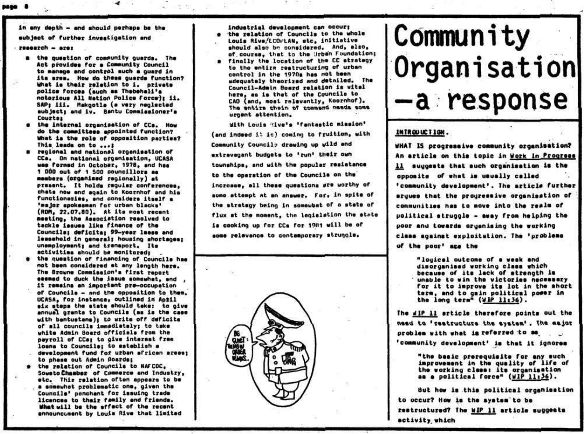in any death - and should perhaps be the

subject of further investigation and

- $research src$ 
	- a the question of community quards. The Act provides for a Community Council to manage and control such a quard in its area. How do these quards function? What is their relation to i. private police forces (such as Thebehali's notorious All Nation Police Force's ii. SAP: iii. Makgotle (a very neglected subject: and iv. Bantu Commissioner's Courtes
	- the internal organisation of CCs. How do the committees appointed function? What is the role of opposition parties? This leads on to ...!
	- regional and national organisation of CCs. On national organisation, UCASA was formed in October, 1978, and has 1 000 out of 1 500 councillors as members (organised regionally) at present. It holds requier conferences. chats now end again to Koornhof and his functionaries, and considers itself a 'major spokesman for urban blacks' (RDM, 22.07.80). At its most recent meeting, the Association resolved to tackle issues like finance of the Councils; deficits; 99-year lesse and leasahold in general; housing shortages; unemployment; and transport, Its activities should be monitored:
	- the question of financing of Councils has not been considered at any length here. The Browne Commission's first report seemed to duck the issue somewhat, and . it remains an important pre-occupation of Councils - and the opposition to them. UCASA, for instance, outlined in April six steps the state should take: to give annual grants to Councils (as is the case with bantustans); to write off deficits of all councils immediately; to take white Admin Board officials from the payroll of CCs; to give interest free loans to Councils; to establish a development fund for urban african areas: to phase out Admin Boards;
	- the relation of Councils to NAFCOC. Soweto Chamber of Commerce and Industry, etc. This relation often appears to be a somewhat problematic one, given the Councils' penchant for issuing trade licences to their family and friends. What will be the effect of the recent ennouncument by Louis Rive that limited

industrial development can occur: the relation of Councils to the whole Louis Rive/ECOPLAN, stc, initiative should also be considered. And, also, of course, that to the Urban Foundation; a finally the location of the CC strategy

to the entire restructuring of urban control in the 1970s has not been udequately theorized and detniled. The Council-Admin Board relation is vital here, as is that of the Councils to CAD (and, most relevantly, Koornhof), The entire thein of tommand needs some urgent attention.

With Louis Hive's 'fantastic mission' (and indeed it is) coming to fruition, with Community Councile drawing up wild and extravagant budgets to 'run' their own townships, and with the popular resistance to the operation of the Councils on the increase, all these questions are worthy of some attempt at an answer. For, in spite of the strategy being in somewhat of a state of flux at the moment, the legislation the state is cooking up for CCs for 1981 will be of some relevance to contemporary strungle.



# Community Organisation -a response

## INTROUUCTION.

WHAT IS progressive community organisation? An article on this topic in Work In Progress 11 suggests that such organisation is the opposite of what is usually called 'community development'. The article further eruwes that the prouressive organisation of communities has to move into the realm of political struggle - away from helping the poor and towards organising the working class against exploitation. The 'problems of the poor' are the

> "louical outcome of a weak and disorganised working class which because of its lack of strength is unable to win the victories necessary for it to improve its lot in the short term, and to gain political power in the long term" (WIP 11:36).

The dlP 11 article therefore points out the need to 'seatsucture the system'. The major problem with what is referred to as 'community development' is that it ignores

> "the basic prerequisite for any such improvement in the quality of life of the working class: its organisation as a political force" (WIP 11:36).

But how is this political organisation to occur? How is the system to be restructured? The WIP 11 article suggests activity which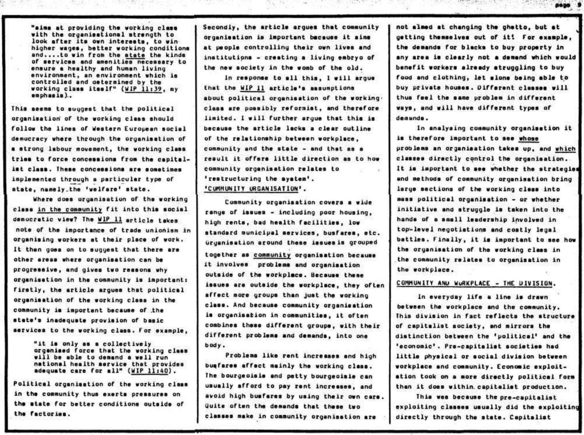**•aims at providing tha working claa \* with tha organisational strength to**  look after its own interests, to win **higher wagea, bettor working conditions**  and....to win from the state the kinds **of aarvicaa and aaenitiee neceeeery to ensure a healthy and human living** environment, an environment which is **controlled and oeterained by the working class itself" (WIP 11:39, my emphasla)..** 

This seems to suggest that the political **organiaation' of the working claaa ahould**  follow the lines of Western European social **democracy where through the oryaniaetion of**  a strong labour movement, the working class tries to force concessions from the capital**l e t claaa . Theae conceaaiona era eometimes**  implemented through a particular type of  $*$  **atate**, namely\_the 'welfare' state.

**Where doea organiaation of tha working**  class in the community fit into this social democratic view? The WIP 11 article takes **note of tha importance of trade unionism in organiaing workara at their place of work. I t then goea on to auggaat that there are other areaa where organiaation can be progressive, and givea two raaaona why organiaation in the community ia lmportanti**  firstly, the article argues that political **organiaation of tha working claaa in the community ie important because of the state' s inadequate proviaion of baaic aarvices** to the working class. For example,

> **" i t ia only aa a collectivel y organiaed force that the working claaa**  will be able to demand a well run **notiona l healt h aervlce that provides adequate care for all " (MIP 11:40) .**

Political organisation of the working class **in the community thus exerte preaaurae on**  the state for better conditions outside of **the factories .** 

Secondly, the article argues that community **organiaation ia important bmcauee i t aims**  at people controlling their own lives and institutions - creating a living embryo of **the new aociety in tha womb of the old .** 

 $\mathcal{C}_{\infty} = \mathcal{C} \times \mathcal{C}$ 

In response to all this, I will argue **that the W1P 11 article' s aesumptions**  about political organisation of the working. **claaa are poaaibly reformist, and therefore limited . I wil l furthe r argue that thia ia because** the article lacks a clear outline of the relationship between workplace, **community and the atat e - and that aa a resul t i t offer a littl e directio n aa to how**  community organisation relates to <sup>*'*restructuring the svatem'.</sup> **'CUHHUN1TY ORGANISATION<sup>1</sup> .** 

**Community organiaation covers a wide renya of iaouea - including poor houaing, high rente , bad healt h facilities , low standard municipal aerviceo , buafarea, etc . Organiaation around theae laaueaia grouped together aa community organiaation becauae i t involvea problams and organiaation outaide of the workplace. Becauae theae**  issues are outside the workplace, they often affect more groups than just the working **claae . And beceuae community organiaation**  is organisation in communities, it often combines these different groups, with their different problems and demands, into one **body.** 

Problems like rent increases and high buafares affect mainly the working class. **Iha bourgeoiale and pett y bourgeoiale can uaually afford to pay rent increaaaa, and avoid high buaferea by using their own care . Uuite often the demande that theae two claaaea meke in community organiaation are** 

**not aimed at changing tha ghetto , but a t**  getting themselves out of it! For example, **the demanda for blacka to buy property In**  any area is clearly not a demand which would **benefit workers already struggling to buy** food and clothing, let alone being able to buy private houses. Different classes will thus feel the same problem in different **ways**, and will have different types of **demanda.** 

page 9

In analysing community organisation it **ia therefore important to see whose problems an organiaation tekea up, and which**  classes directly control the organisation. It is important to see whether the strategies **and methods of community orgsnisation bring**  large sections of the working class into **maaa politica l organiaation - or whether**  initiative and struggle is taken into the hands of a small leadership involved in top-level negotiations and costly legal **battlea . Finally , i t i e important to aee how**  the organisation of the working class in the community relates to organisation in **the workplace.** 

### COMMUNITY AND WURKPLACE - THE DIVISION.

In everyday life a line is drawn **between the workplece and the community. Thie diviaio n in fact raflect a the atructure of capitalia t aociety , and mirrora the distinctio n between the 'political <sup>1</sup> and the 'economic\* . Pro-capitelia t societie s had littl e phyaical or aocia l diviaio n betwaen workplace and community. Economic exploit**  ation took on a more directly political form **then i t doee within, capitalia t production.** 

This was because the pre-capitalist **exploiting claaaea uaually did the exploiting**  directly through the state. Capitalist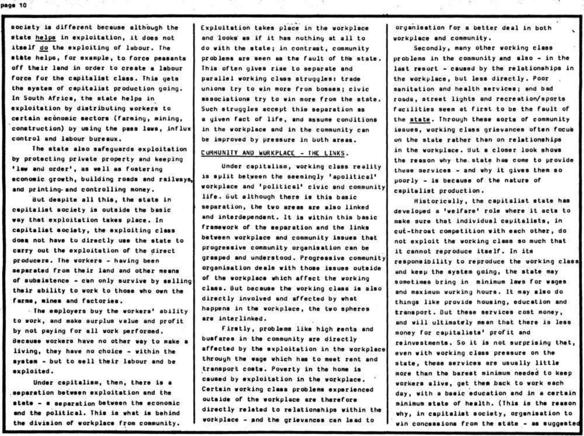page 10

society is different because although the state helps in exploitation, it does not itself do the exploiting of labour. The state helps, for example, to force peasants off their land in order to create a labour force for the capitalist class. This gets the system of capitalist production going. In South Africa, the state helps in exploitation by distributing workers to certain economic sectors (farming, mining, construction) by using the pass laws, influx control and labour bureaux.

The state also safequards exploitation by protecting private property and keeping 'lew and order', as well as fostering economic growth, building roads and railways, and printing- and controlling money.

But despite all this, the state in capitalist society is outside the basic way that exploitation takes place. In capitalist society, the exploiting class does not have to directly use the state to carry out the exploitation of the direct producers. The workers - having been separated from their land and other means of subsistence - can only survive by selling their ability to work to those who own the farms, mines and factories.

. The employers buy the workers' ability to work, and make surplus value and profit by not paying for all work performed. Because workers have no other way to make a living, they have no choice - within the system - but to sell their labour and be exploited.

Under capitalism, then, there is a separation between exploitation and the state - a separation between the economic and the political. This is what is behind the division of workplace from community.

Exploitation takes place in the workplace and looks as if it has nothing at all to do with the state; in contrast, community problems are seen as the fault of the state. This often gives rise to separate and parallel working class struggles: trade unions try to win more from bosses: civic associations try to win more from the state. Such struggles accept this separation as a given fact of life, and assume conditions in the workplace and in the community can be improved by pressure in both areas.

## CUMMUNITY AND WURKPLACE - THE LINKS.

Under capitalism, working class reality is split between the seemingly 'apolitical' workplace and 'political' civic and community life. but although there is this basic separation, the two areas are also linked and interdependent. It is within this basic framework of the separation and the links between workplace and community issues that progressive community organisation can be grasped and understood. Progressive community organisation deals with those issues outside of the workplace which affect the working class. But because the working class is also directly involved and affected by what happens in the workplace, the two spheres are interlinked.

Firstly, problems like high rents and busfares in the community are directly affected by the exploitation in the workplace through the wage which has to meet rent and transport costs. Poverty in the home is caused by exploitation in the workplace. Certain working class problems experienced outside of the workplace are therefore directly related to relationships within the workplace - and the grievances can lead to

organisation for a better deal in both workplace and community.

Secondly, many other working class problems in the community and also - in the last resort - caused by the relationships in the workplace, but less directly. Poor . sanitation and health services; and bad roads, street lights and recreation/sports facilities seem at first to be the fault of the state. Through these sorts of community issues, working class grievances often focus on the state rather than on relationships in the workplace. But a closer look shows the reason why the state has come to provide these services - and why it gives them so poorly - is because of the nature of capitalist production.

Historically, the capitalist state has developed a 'welfare' role where it acts to make sure that individual capitalists, in cut-throat competition with each other, do not exploit the working class so much that it cannot reproduce itself. In its responsibility to reproduce the working class and keep the system going, the state may sometimes bring in minimum laws for wages and maximum wurking hours. It may also do things like provide housing, education and transport. But these services cost money, and will ultimately mean that there is less money for capitalists' profit and reinvestments. So it is not surprising that, even with working class pressure on the state, these services are usually little more than the barest minimum needed to keep workers alive, get them back to work each day, with a basic education and in a certain minimum state of health. (This is the reason why, in capitalist society, organisation to win concessions from the state - as suggested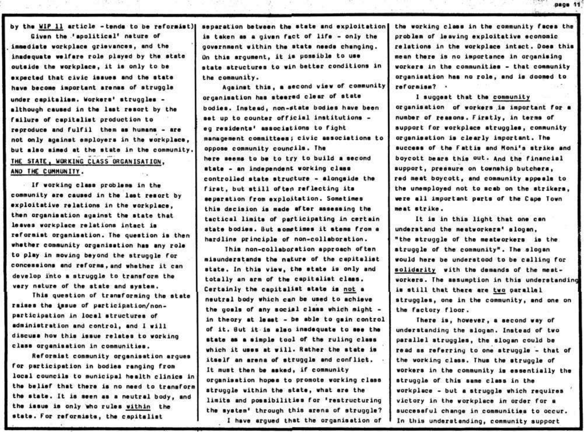by the WIP 11 article - tends to be reformist)

Given the 'apolitical' nature of immediate workplace grievances, and the inadequate welfare role played by the state outside the workplace, it is only to be expected that civic issues and the state have become important arenas of struggle under capitalism. Workers' struggles although caused in the last resort by the failure of capitalist production to reproduce and fulfil them as humans - are not only against employers in the workplace, but also aimed at the state in the community. THE STATE, WORKING CLASS ORGANISATION. AND THE CUMMUNITY. 19745

If working class problems in the community are caused in the last resort by exploitative relations in the workplace. then organisation against the state that lesves workplace relations intact is reformist organisation. The question is then whether community organisation has any role to play in moving beyond the struggle for concessions and reforms, and whether it can develop into a struggle to transform the very nature of the state and system.

This question of transforming the state raises the issue of participation/nonparticipation in local structures of administration and control, and I will discuss how this issue relates to working class organisation in communities.

Reformist community organisation arques for participation in bodies ranging from local councils to municipal health clinics in the belief that there is no need to transform the state. It is seen as a neutral body, and the issue is only who rules within the state. For reformists, the capitalist

separation between the state and exploitation is taken as a given fact of life - only the government within the state needs changing. On this argument, it is possible to use state structures to win better conditions in the community.

Against this, a second view of community organisation has steered clear of state bodies. Instead, non-state bodies have been set up to counter official institutions eg residents' associations to fight management committees; civic associations to oppose community councils. The here seems to be to try to build a second state - an independent working class controlled state structure - alongside the first, but still often reflecting its separation from exploitation. Sometimes this decision is made after assessing the tactical limits of participating in certain state bodies. But sometimes it stems from a hardline principle of non-collaboration.

This non-collaboration approach often misunderstands the nature of the capitalist state. In this view, the state is only and totally an arm of the capitalist class. Certainly the capitalist state is not a neutral body which can be used to achieve the goals of any social class which might in theory at least - be able to gain control of it. But it is also inadequate to see the state as a simple tool of the ruling class which it uses at will. Rather the state is itself an arena of struggle and conflict. It must then be asked, if community organisation hopes to promote working class struggle within the state, what are the limits and possibilities for 'restructuring the system' through this arena of struggle? I have argued that the organisation of

the working class in the community faces the problem of leaving exploitative economic relations in the workplace intact. Does this mean there is no importance in organising workers in the communities - that community organisation has no role, and is doomed to reformise? .

page 11

I suggest that the community organisation of workers is important for a number of reasons. Firstly, in terms of support for workplace struggles, community organisation is clearly important. The success of the Fattis and Moni's strike and boycott bears this out. And the financial support, pressure on township butchers, red meat boycott, and community appeals to the unemployed not to scab on the strikers, were all important parts of the Cape Town meat strike.

It is in this light that one can understand the meatworkers' slogan, "the struggle of the meatworkers is the struggle of the community". The slogan would here be understood to be calling for solidarity with the demands of the meatworkers. The assumption in this understanding is still that there are two parallel struggles, one in the community, and one on the factory floor.

There is, however, a second way of understanding the slogan. Instead of two parallel struggles, the slogan could be read as referring to one struggle - that of the working class. Thus the struggle of workers in the community is essentially the struggle of this same class in the workplace - but a struggle which requires victory in the workplace in order for a successful change in communities to occur. In this understanding, community support